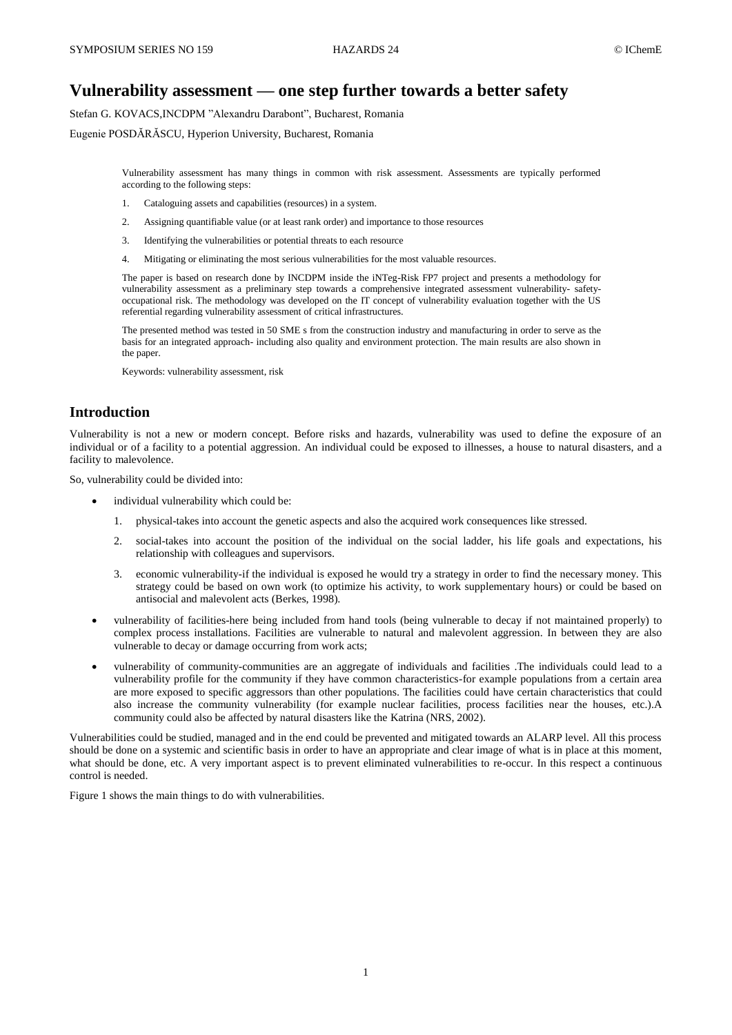# **Vulnerability assessment — one step further towards a better safety**

Stefan G. KOVACS,INCDPM "Alexandru Darabont", Bucharest, Romania

Eugenie POSDĂRĂSCU, Hyperion University, Bucharest, Romania

Vulnerability assessment has many things in common with risk assessment. Assessments are typically performed according to the following steps:

- 1. Cataloguing assets and capabilities (resources) in a system.
- 2. Assigning quantifiable value (or at least rank order) and importance to those resources
- 3. Identifying the vulnerabilities or potential threats to each resource
- 4. Mitigating or eliminating the most serious vulnerabilities for the most valuable resources.

The paper is based on research done by INCDPM inside the iNTeg-Risk FP7 project and presents a methodology for vulnerability assessment as a preliminary step towards a comprehensive integrated assessment vulnerability- safetyoccupational risk. The methodology was developed on the IT concept of vulnerability evaluation together with the US referential regarding vulnerability assessment of critical infrastructures.

The presented method was tested in 50 SME s from the construction industry and manufacturing in order to serve as the basis for an integrated approach- including also quality and environment protection. The main results are also shown in the paper.

Keywords: vulnerability assessment, risk

# **Introduction**

Vulnerability is not a new or modern concept. Before risks and hazards, vulnerability was used to define the exposure of an individual or of a facility to a potential aggression. An individual could be exposed to illnesses, a house to natural disasters, and a facility to malevolence.

So, vulnerability could be divided into:

- individual vulnerability which could be:
	- 1. physical-takes into account the genetic aspects and also the acquired work consequences like stressed.
	- 2. social-takes into account the position of the individual on the social ladder, his life goals and expectations, his relationship with colleagues and supervisors.
	- 3. economic vulnerability-if the individual is exposed he would try a strategy in order to find the necessary money. This strategy could be based on own work (to optimize his activity, to work supplementary hours) or could be based on antisocial and malevolent acts (Berkes, 1998).
- vulnerability of facilities-here being included from hand tools (being vulnerable to decay if not maintained properly) to complex process installations. Facilities are vulnerable to natural and malevolent aggression. In between they are also vulnerable to decay or damage occurring from work acts;
- vulnerability of community-communities are an aggregate of individuals and facilities .The individuals could lead to a vulnerability profile for the community if they have common characteristics-for example populations from a certain area are more exposed to specific aggressors than other populations. The facilities could have certain characteristics that could also increase the community vulnerability (for example nuclear facilities, process facilities near the houses, etc.).A community could also be affected by natural disasters like the Katrina (NRS, 2002).

Vulnerabilities could be studied, managed and in the end could be prevented and mitigated towards an ALARP level. All this process should be done on a systemic and scientific basis in order to have an appropriate and clear image of what is in place at this moment, what should be done, etc. A very important aspect is to prevent eliminated vulnerabilities to re-occur. In this respect a continuous control is needed.

Figure 1 shows the main things to do with vulnerabilities.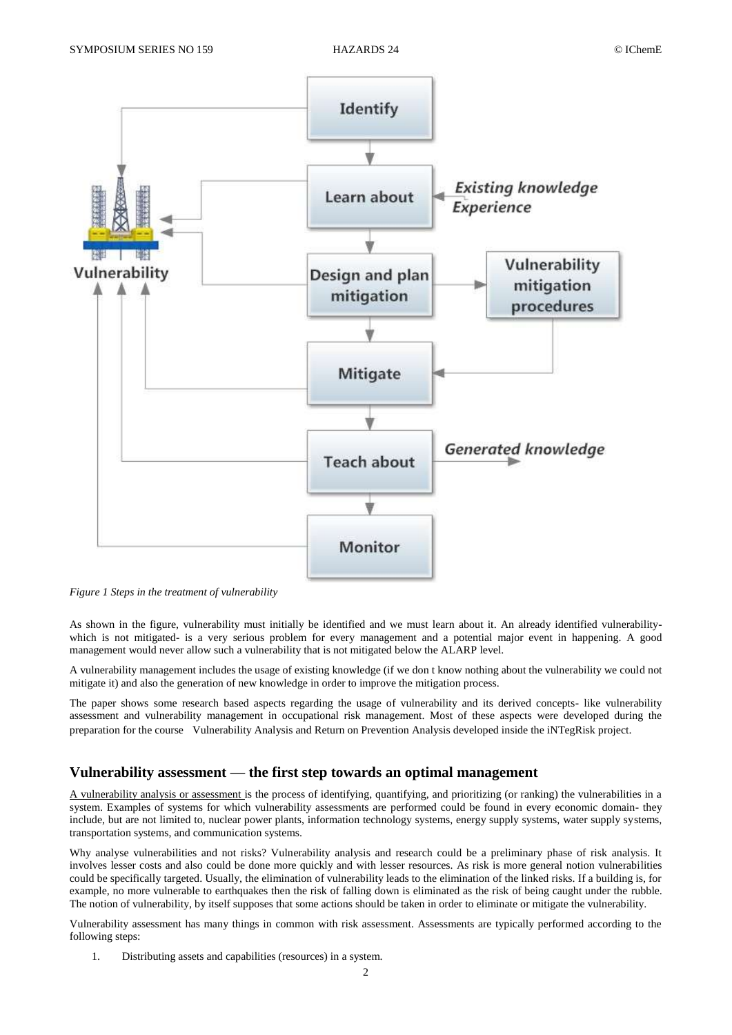

*Figure 1 Steps in the treatment of vulnerability*

As shown in the figure, vulnerability must initially be identified and we must learn about it. An already identified vulnerabilitywhich is not mitigated- is a very serious problem for every management and a potential major event in happening. A good management would never allow such a vulnerability that is not mitigated below the ALARP level.

A vulnerability management includes the usage of existing knowledge (if we don t know nothing about the vulnerability we could not mitigate it) and also the generation of new knowledge in order to improve the mitigation process.

The paper shows some research based aspects regarding the usage of vulnerability and its derived concepts- like vulnerability assessment and vulnerability management in occupational risk management. Most of these aspects were developed during the preparation for the course Vulnerability Analysis and Return on Prevention Analysis developed inside the iNTegRisk project.

#### **Vulnerability assessment — the first step towards an optimal management**

A vulnerability analysis or assessment is the process of identifying, quantifying, and prioritizing (or ranking) the vulnerabilities in a system. Examples of systems for which vulnerability assessments are performed could be found in every economic domain- they include, but are not limited to, nuclear power plants, information technology systems, energy supply systems, water supply systems, transportation systems, and communication systems.

Why analyse vulnerabilities and not risks? Vulnerability analysis and research could be a preliminary phase of risk analysis. It involves lesser costs and also could be done more quickly and with lesser resources. As risk is more general notion vulnerabilities could be specifically targeted. Usually, the elimination of vulnerability leads to the elimination of the linked risks. If a building is, for example, no more vulnerable to earthquakes then the risk of falling down is eliminated as the risk of being caught under the rubble. The notion of vulnerability, by itself supposes that some actions should be taken in order to eliminate or mitigate the vulnerability.

Vulnerability assessment has many things in common with risk assessment. Assessments are typically performed according to the following steps:

1. Distributing assets and capabilities (resources) in a system.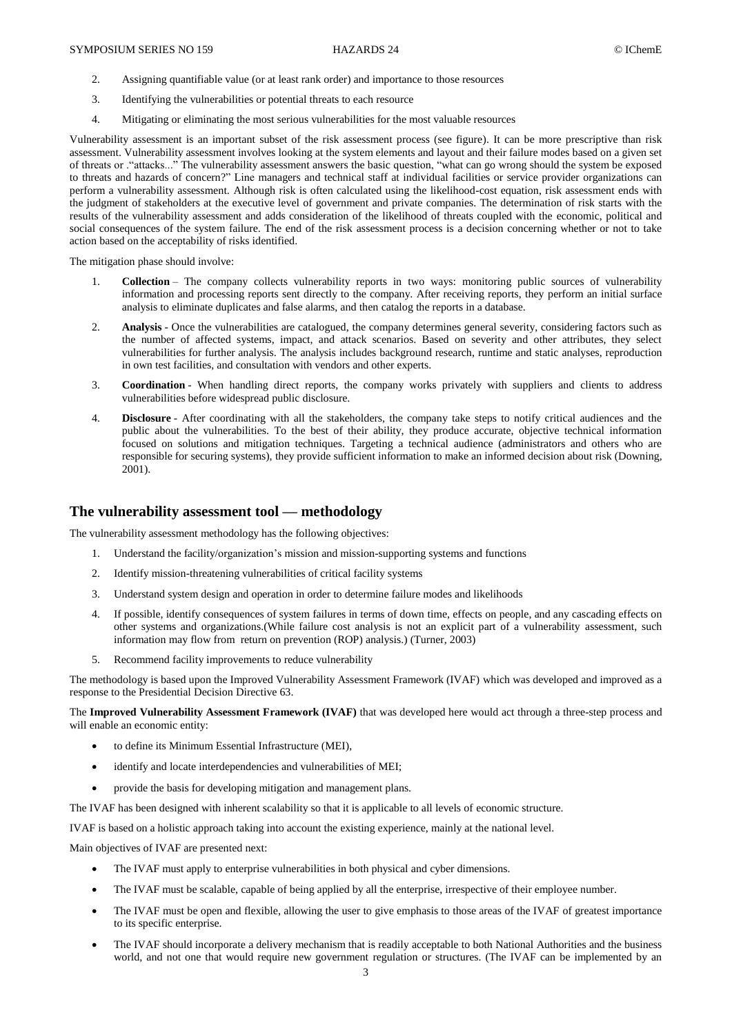- 2. Assigning quantifiable value (or at least rank order) and importance to those resources
- 3. Identifying the vulnerabilities or potential threats to each resource
- 4. Mitigating or eliminating the most serious vulnerabilities for the most valuable resources

Vulnerability assessment is an important subset of the risk assessment process (see figure). It can be more prescriptive than risk assessment. Vulnerability assessment involves looking at the system elements and layout and their failure modes based on a given set of threats or ."attacks..." The vulnerability assessment answers the basic question, "what can go wrong should the system be exposed to threats and hazards of concern?" Line managers and technical staff at individual facilities or service provider organizations can perform a vulnerability assessment. Although risk is often calculated using the likelihood-cost equation, risk assessment ends with the judgment of stakeholders at the executive level of government and private companies. The determination of risk starts with the results of the vulnerability assessment and adds consideration of the likelihood of threats coupled with the economic, political and social consequences of the system failure. The end of the risk assessment process is a decision concerning whether or not to take action based on the acceptability of risks identified.

The mitigation phase should involve:

- 1. **Collection** The company collects vulnerability reports in two ways: monitoring public sources of vulnerability information and processing reports sent directly to the company. After receiving reports, they perform an initial surface analysis to eliminate duplicates and false alarms, and then catalog the reports in a database.
- 2. **Analysis** Once the vulnerabilities are catalogued, the company determines general severity, considering factors such as the number of affected systems, impact, and attack scenarios. Based on severity and other attributes, they select vulnerabilities for further analysis. The analysis includes background research, runtime and static analyses, reproduction in own test facilities, and consultation with vendors and other experts.
- 3. **Coordination** When handling direct reports, the company works privately with suppliers and clients to address vulnerabilities before widespread public disclosure.
- 4. **Disclosure** After coordinating with all the stakeholders, the company take steps to notify critical audiences and the public about the vulnerabilities. To the best of their ability, they produce accurate, objective technical information focused on solutions and mitigation techniques. Targeting a technical audience (administrators and others who are responsible for securing systems), they provide sufficient information to make an informed decision about risk (Downing, 2001).

### **The vulnerability assessment tool — methodology**

The vulnerability assessment methodology has the following objectives:

- 1. Understand the facility/organization's mission and mission-supporting systems and functions
- 2. Identify mission-threatening vulnerabilities of critical facility systems
- 3. Understand system design and operation in order to determine failure modes and likelihoods
- 4. If possible, identify consequences of system failures in terms of down time, effects on people, and any cascading effects on other systems and organizations.(While failure cost analysis is not an explicit part of a vulnerability assessment, such information may flow from return on prevention (ROP) analysis.) (Turner, 2003)
- 5. Recommend facility improvements to reduce vulnerability

The methodology is based upon the Improved Vulnerability Assessment Framework (IVAF) which was developed and improved as a response to the Presidential Decision Directive 63.

The **Improved Vulnerability Assessment Framework (IVAF)** that was developed here would act through a three-step process and will enable an economic entity:

- to define its Minimum Essential Infrastructure (MEI),
- identify and locate interdependencies and vulnerabilities of MEI;
- provide the basis for developing mitigation and management plans.

The IVAF has been designed with inherent scalability so that it is applicable to all levels of economic structure.

IVAF is based on a holistic approach taking into account the existing experience, mainly at the national level.

Main objectives of IVAF are presented next:

- The IVAF must apply to enterprise vulnerabilities in both physical and cyber dimensions.
- The IVAF must be scalable, capable of being applied by all the enterprise, irrespective of their employee number.
- The IVAF must be open and flexible, allowing the user to give emphasis to those areas of the IVAF of greatest importance to its specific enterprise.
- The IVAF should incorporate a delivery mechanism that is readily acceptable to both National Authorities and the business world, and not one that would require new government regulation or structures. (The IVAF can be implemented by an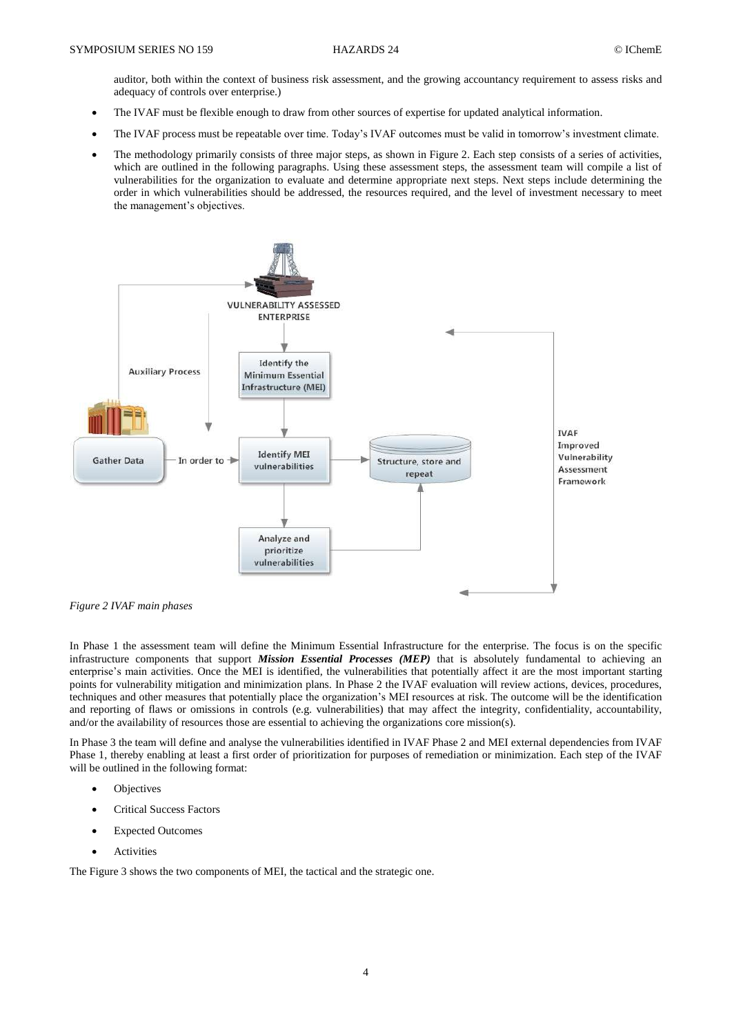auditor, both within the context of business risk assessment, and the growing accountancy requirement to assess risks and adequacy of controls over enterprise.)

- The IVAF must be flexible enough to draw from other sources of expertise for updated analytical information.
- The IVAF process must be repeatable over time. Today's IVAF outcomes must be valid in tomorrow's investment climate.
- The methodology primarily consists of three major steps, as shown in Figure 2. Each step consists of a series of activities, which are outlined in the following paragraphs. Using these assessment steps, the assessment team will compile a list of vulnerabilities for the organization to evaluate and determine appropriate next steps. Next steps include determining the order in which vulnerabilities should be addressed, the resources required, and the level of investment necessary to meet the management's objectives.



*Figure 2 IVAF main phases*

In Phase 1 the assessment team will define the Minimum Essential Infrastructure for the enterprise. The focus is on the specific infrastructure components that support *Mission Essential Processes (MEP)* that is absolutely fundamental to achieving an enterprise's main activities. Once the MEI is identified, the vulnerabilities that potentially affect it are the most important starting points for vulnerability mitigation and minimization plans. In Phase 2 the IVAF evaluation will review actions, devices, procedures, techniques and other measures that potentially place the organization's MEI resources at risk. The outcome will be the identification and reporting of flaws or omissions in controls (e.g. vulnerabilities) that may affect the integrity, confidentiality, accountability, and/or the availability of resources those are essential to achieving the organizations core mission(s).

In Phase 3 the team will define and analyse the vulnerabilities identified in IVAF Phase 2 and MEI external dependencies from IVAF Phase 1, thereby enabling at least a first order of prioritization for purposes of remediation or minimization. Each step of the IVAF will be outlined in the following format:

- **Objectives**
- Critical Success Factors
- Expected Outcomes
- Activities

The Figure 3 shows the two components of MEI, the tactical and the strategic one.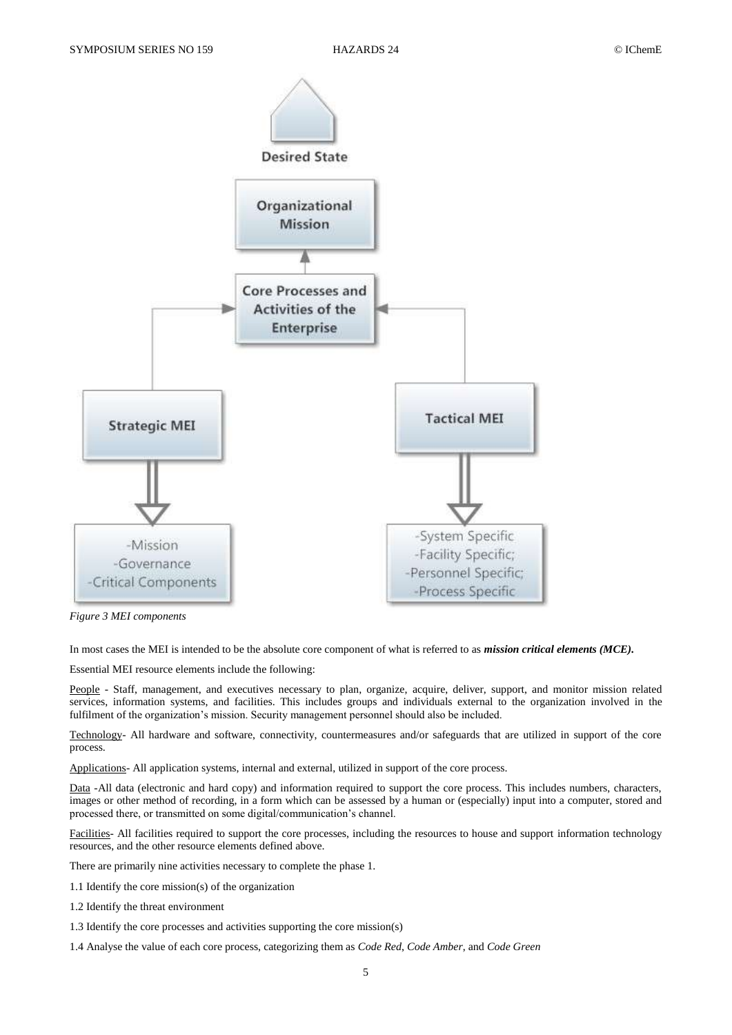

*Figure 3 MEI components*

In most cases the MEI is intended to be the absolute core component of what is referred to as *mission critical elements (MCE).*

Essential MEI resource elements include the following:

People - Staff, management, and executives necessary to plan, organize, acquire, deliver, support, and monitor mission related services, information systems, and facilities. This includes groups and individuals external to the organization involved in the fulfilment of the organization's mission. Security management personnel should also be included.

Technology- All hardware and software, connectivity, countermeasures and/or safeguards that are utilized in support of the core process.

Applications- All application systems, internal and external, utilized in support of the core process.

Data -All data (electronic and hard copy) and information required to support the core process. This includes numbers, characters, images or other method of recording, in a form which can be assessed by a human or (especially) input into a computer, stored and processed there, or transmitted on some digital/communication's channel.

Facilities- All facilities required to support the core processes, including the resources to house and support information technology resources, and the other resource elements defined above.

There are primarily nine activities necessary to complete the phase 1.

- 1.1 Identify the core mission(s) of the organization
- 1.2 Identify the threat environment
- 1.3 Identify the core processes and activities supporting the core mission(s)
- 1.4 Analyse the value of each core process, categorizing them as *Code Red*, *Code Amber*, and *Code Green*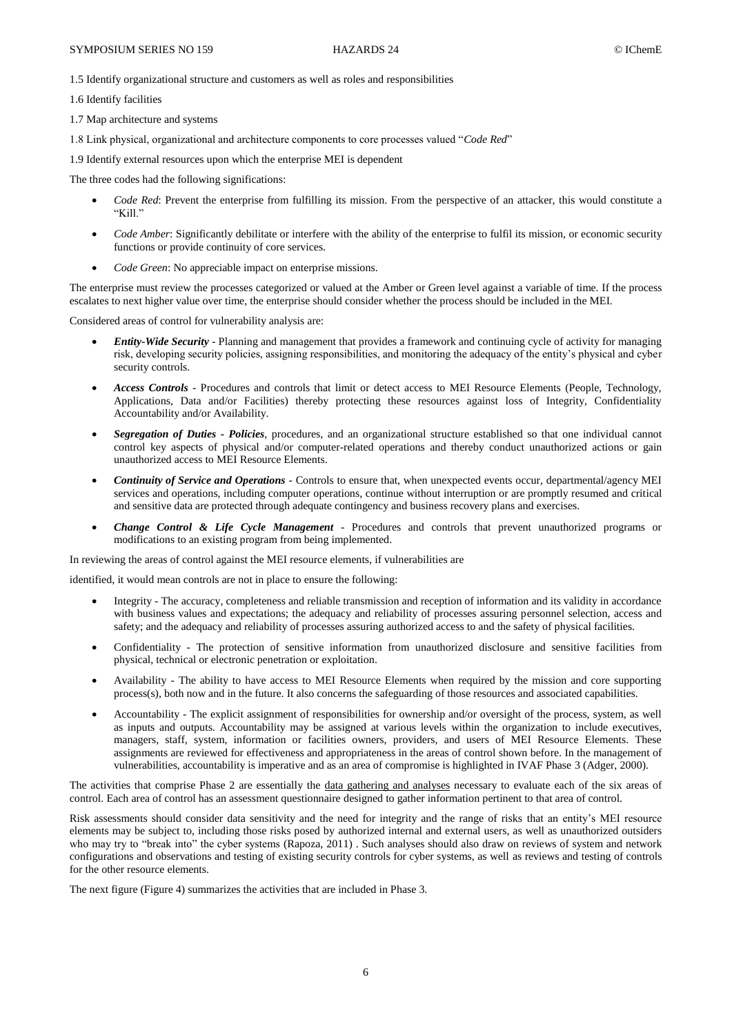1.5 Identify organizational structure and customers as well as roles and responsibilities

1.6 Identify facilities

1.7 Map architecture and systems

1.8 Link physical, organizational and architecture components to core processes valued "*Code Red*"

1.9 Identify external resources upon which the enterprise MEI is dependent

The three codes had the following significations:

- *Code Red*: Prevent the enterprise from fulfilling its mission. From the perspective of an attacker, this would constitute a  $"$ Kill"
- *Code Amber*: Significantly debilitate or interfere with the ability of the enterprise to fulfil its mission, or economic security functions or provide continuity of core services.
- *Code Green*: No appreciable impact on enterprise missions.

The enterprise must review the processes categorized or valued at the Amber or Green level against a variable of time. If the process escalates to next higher value over time, the enterprise should consider whether the process should be included in the MEI.

Considered areas of control for vulnerability analysis are:

- *Entity-Wide Security* Planning and management that provides a framework and continuing cycle of activity for managing risk, developing security policies, assigning responsibilities, and monitoring the adequacy of the entity's physical and cyber security controls.
- *Access Controls* Procedures and controls that limit or detect access to MEI Resource Elements (People, Technology, Applications, Data and/or Facilities) thereby protecting these resources against loss of Integrity, Confidentiality Accountability and/or Availability.
- *Segregation of Duties - Policies*, procedures, and an organizational structure established so that one individual cannot control key aspects of physical and/or computer-related operations and thereby conduct unauthorized actions or gain unauthorized access to MEI Resource Elements.
- *Continuity of Service and Operations* Controls to ensure that, when unexpected events occur, departmental/agency MEI services and operations, including computer operations, continue without interruption or are promptly resumed and critical and sensitive data are protected through adequate contingency and business recovery plans and exercises.
- *Change Control & Life Cycle Management* Procedures and controls that prevent unauthorized programs or modifications to an existing program from being implemented.

In reviewing the areas of control against the MEI resource elements, if vulnerabilities are

identified, it would mean controls are not in place to ensure the following:

- Integrity The accuracy, completeness and reliable transmission and reception of information and its validity in accordance with business values and expectations; the adequacy and reliability of processes assuring personnel selection, access and safety; and the adequacy and reliability of processes assuring authorized access to and the safety of physical facilities.
- Confidentiality The protection of sensitive information from unauthorized disclosure and sensitive facilities from physical, technical or electronic penetration or exploitation.
- Availability The ability to have access to MEI Resource Elements when required by the mission and core supporting process(s), both now and in the future. It also concerns the safeguarding of those resources and associated capabilities.
- Accountability The explicit assignment of responsibilities for ownership and/or oversight of the process, system, as well as inputs and outputs. Accountability may be assigned at various levels within the organization to include executives, managers, staff, system, information or facilities owners, providers, and users of MEI Resource Elements. These assignments are reviewed for effectiveness and appropriateness in the areas of control shown before. In the management of vulnerabilities, accountability is imperative and as an area of compromise is highlighted in IVAF Phase 3 (Adger, 2000).

The activities that comprise Phase 2 are essentially the data gathering and analyses necessary to evaluate each of the six areas of control. Each area of control has an assessment questionnaire designed to gather information pertinent to that area of control.

Risk assessments should consider data sensitivity and the need for integrity and the range of risks that an entity's MEI resource elements may be subject to, including those risks posed by authorized internal and external users, as well as unauthorized outsiders who may try to "break into" the cyber systems (Rapoza, 2011). Such analyses should also draw on reviews of system and network configurations and observations and testing of existing security controls for cyber systems, as well as reviews and testing of controls for the other resource elements.

The next figure (Figure 4) summarizes the activities that are included in Phase 3.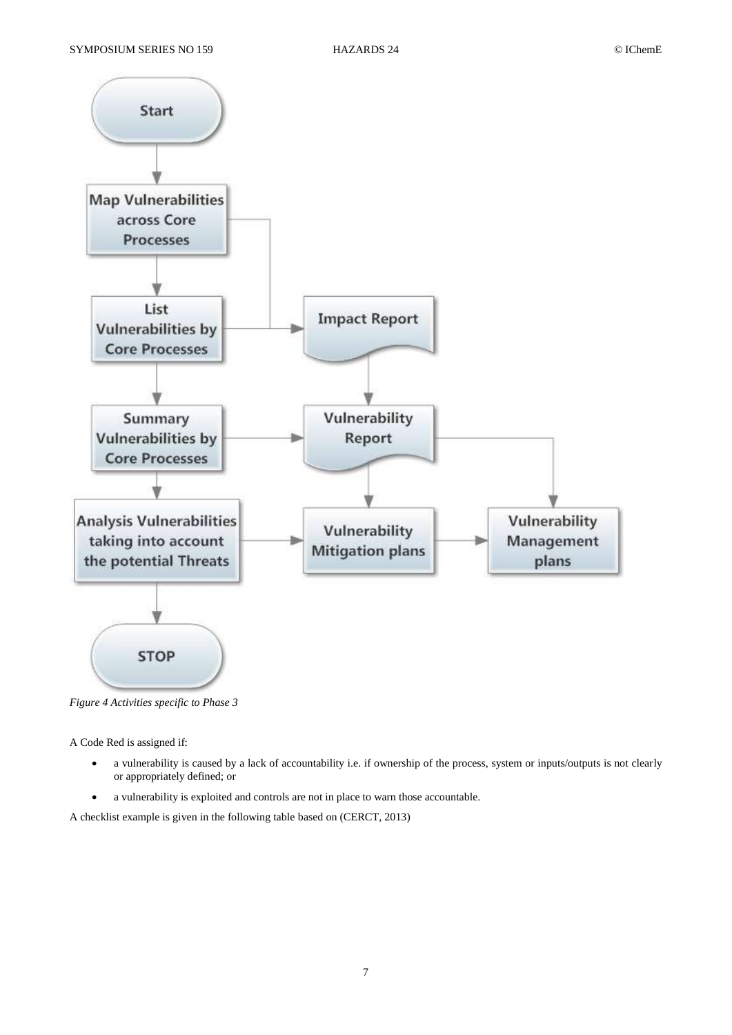

*Figure 4 Activities specific to Phase 3*

A Code Red is assigned if:

- a vulnerability is caused by a lack of accountability i.e. if ownership of the process, system or inputs/outputs is not clearly or appropriately defined; or
- a vulnerability is exploited and controls are not in place to warn those accountable.

A checklist example is given in the following table based on (CERCT, 2013)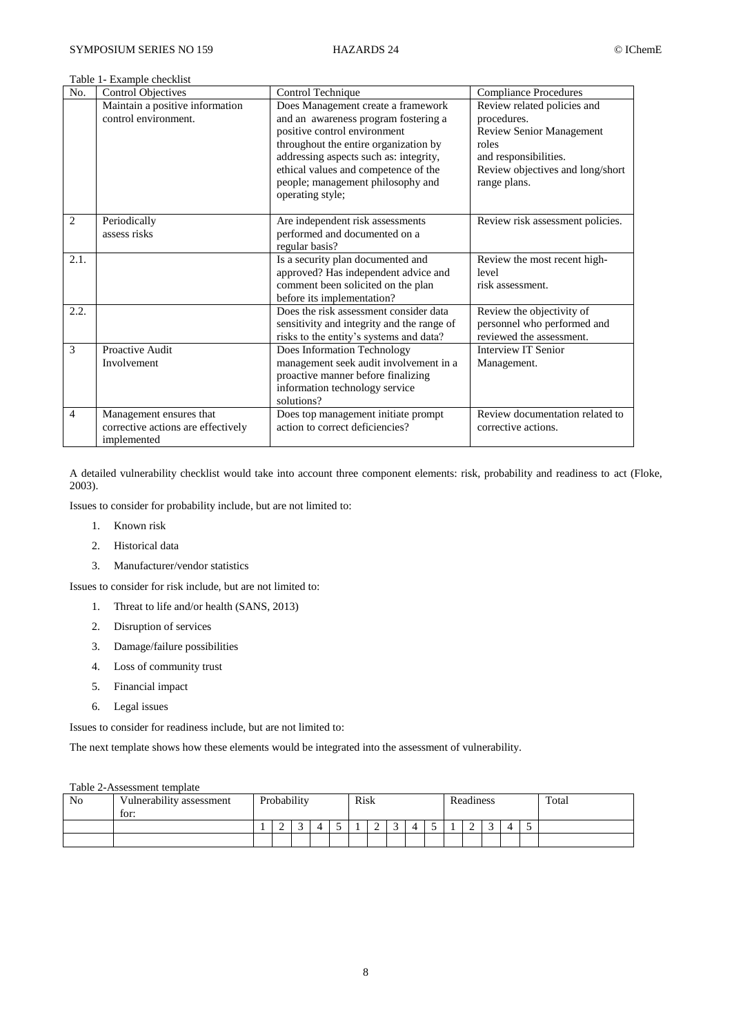Table 1- Example checklist

| No.            | <b>Control Objectives</b>                                                    | Control Technique                                                                                                                                                                                                                     | <b>Compliance Procedures</b>                                                                                                                        |  |  |
|----------------|------------------------------------------------------------------------------|---------------------------------------------------------------------------------------------------------------------------------------------------------------------------------------------------------------------------------------|-----------------------------------------------------------------------------------------------------------------------------------------------------|--|--|
|                | Maintain a positive information<br>control environment.                      | Does Management create a framework<br>and an awareness program fostering a<br>positive control environment<br>throughout the entire organization by<br>addressing aspects such as: integrity,<br>ethical values and competence of the | Review related policies and<br>procedures.<br><b>Review Senior Management</b><br>roles<br>and responsibilities.<br>Review objectives and long/short |  |  |
|                |                                                                              | people; management philosophy and<br>operating style;                                                                                                                                                                                 | range plans.                                                                                                                                        |  |  |
| $\overline{2}$ | Periodically<br>assess risks                                                 | Are independent risk assessments<br>performed and documented on a<br>regular basis?                                                                                                                                                   | Review risk assessment policies.                                                                                                                    |  |  |
| 2.1.           |                                                                              | Is a security plan documented and<br>approved? Has independent advice and<br>comment been solicited on the plan<br>before its implementation?                                                                                         | Review the most recent high-<br>level<br>risk assessment.                                                                                           |  |  |
| 2.2.           |                                                                              | Does the risk assessment consider data<br>sensitivity and integrity and the range of<br>risks to the entity's systems and data?                                                                                                       | Review the objectivity of<br>personnel who performed and<br>reviewed the assessment.                                                                |  |  |
| 3              | Proactive Audit<br>Involvement                                               | Does Information Technology<br>management seek audit involvement in a<br>proactive manner before finalizing<br>information technology service<br>solutions?                                                                           | <b>Interview IT Senior</b><br>Management.                                                                                                           |  |  |
| $\overline{4}$ | Management ensures that<br>corrective actions are effectively<br>implemented | Does top management initiate prompt<br>action to correct deficiencies?                                                                                                                                                                | Review documentation related to<br>corrective actions.                                                                                              |  |  |

A detailed vulnerability checklist would take into account three component elements: risk, probability and readiness to act (Floke, 2003).

Issues to consider for probability include, but are not limited to:

- 1. Known risk
- 2. Historical data
- 3. Manufacturer/vendor statistics

Issues to consider for risk include, but are not limited to:

- 1. Threat to life and/or health (SANS, 2013)
- 2. Disruption of services
- 3. Damage/failure possibilities
- 4. Loss of community trust
- 5. Financial impact
- 6. Legal issues

Issues to consider for readiness include, but are not limited to:

The next template shows how these elements would be integrated into the assessment of vulnerability.

| $10010 \pm 100000000000$ |                                  |  |             |  |     |  |      |  |  |           |  |   |  |          |  |
|--------------------------|----------------------------------|--|-------------|--|-----|--|------|--|--|-----------|--|---|--|----------|--|
| No                       | Vulnerability assessment<br>for: |  | Probability |  |     |  | Risk |  |  | Readiness |  |   |  | Total    |  |
|                          |                                  |  | ∽           |  | . . |  |      |  |  |           |  | - |  | $\Delta$ |  |
|                          |                                  |  |             |  |     |  |      |  |  |           |  |   |  |          |  |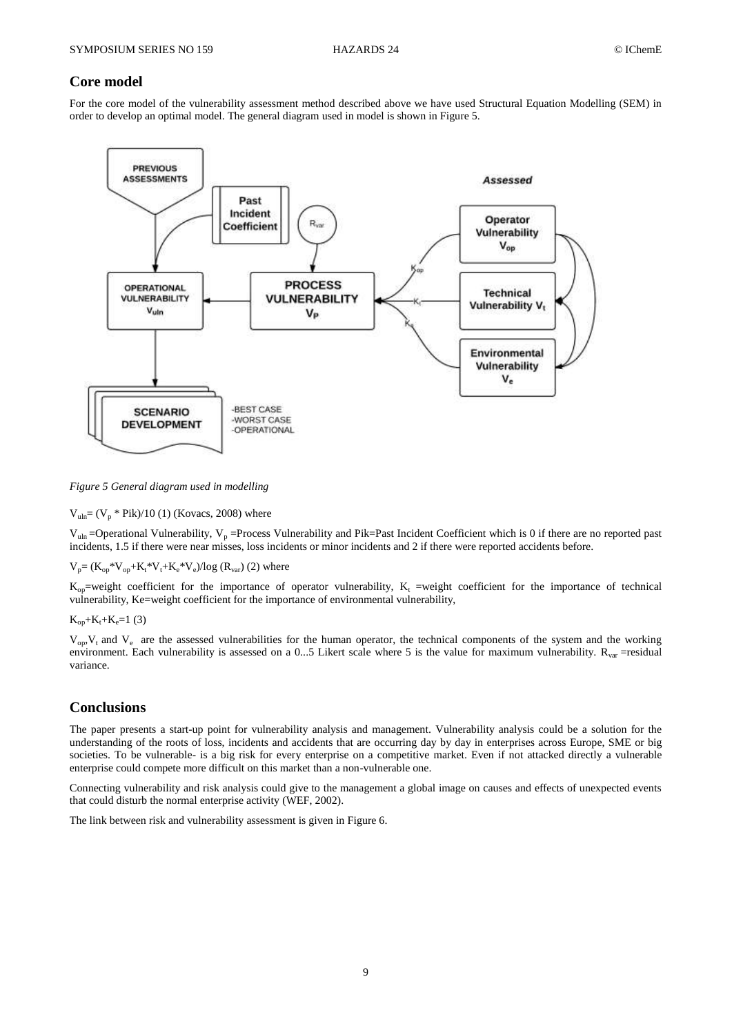# **Core model**

For the core model of the vulnerability assessment method described above we have used Structural Equation Modelling (SEM) in order to develop an optimal model. The general diagram used in model is shown in Figure 5.



*Figure 5 General diagram used in modelling* 

 $V_{\text{uln}} = (V_p * Pik)/10$  (1) (Kovacs, 2008) where

 $V_{\text{min}}$  =Operational Vulnerability,  $V_p$  =Process Vulnerability and Pik=Past Incident Coefficient which is 0 if there are no reported past incidents, 1.5 if there were near misses, loss incidents or minor incidents and 2 if there were reported accidents before.

 $V_p = (K_{op} * V_{op} + K_t * V_t + K_e * V_e) / log (R_{var})$  (2) where

 $K_{op}$ =weight coefficient for the importance of operator vulnerability,  $K_t$  =weight coefficient for the importance of technical vulnerability, Ke=weight coefficient for the importance of environmental vulnerability,

 $K_{\rm on}+K_{\rm t}+K_{\rm e}=1$  (3)

 $V_{\text{on}}$ ,  $V_t$  and  $V_e$  are the assessed vulnerabilities for the human operator, the technical components of the system and the working environment. Each vulnerability is assessed on a 0...5 Likert scale where 5 is the value for maximum vulnerability.  $R_{var}$  =residual variance.

# **Conclusions**

The paper presents a start-up point for vulnerability analysis and management. Vulnerability analysis could be a solution for the understanding of the roots of loss, incidents and accidents that are occurring day by day in enterprises across Europe, SME or big societies. To be vulnerable- is a big risk for every enterprise on a competitive market. Even if not attacked directly a vulnerable enterprise could compete more difficult on this market than a non-vulnerable one.

Connecting vulnerability and risk analysis could give to the management a global image on causes and effects of unexpected events that could disturb the normal enterprise activity (WEF, 2002).

The link between risk and vulnerability assessment is given in Figure 6.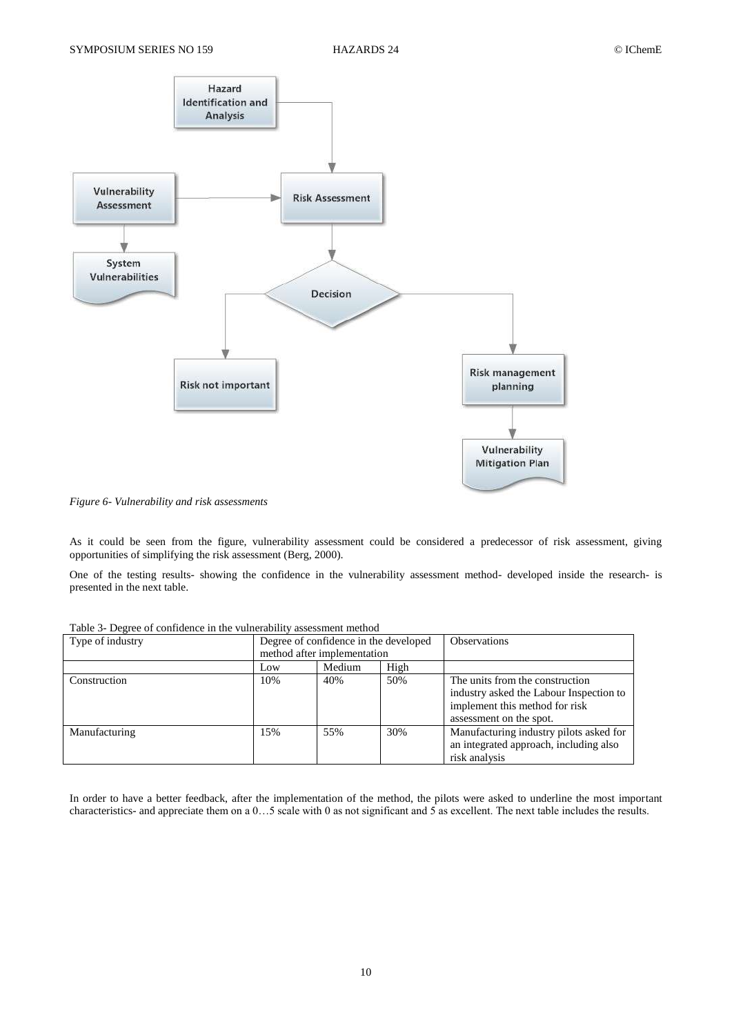

*Figure 6- Vulnerability and risk assessments*

As it could be seen from the figure, vulnerability assessment could be considered a predecessor of risk assessment, giving opportunities of simplifying the risk assessment (Berg, 2000).

One of the testing results- showing the confidence in the vulnerability assessment method- developed inside the research- is presented in the next table.

| $\ldots$ . $\ldots$ , $\ldots$ , $\ldots$ , $\ldots$ , $\ldots$ , $\ldots$ , $\ldots$ , $\ldots$ , $\ldots$ , $\ldots$ , $\ldots$ , $\ldots$ |                                       |     |     |                                                                                                                                         |  |  |  |  |
|----------------------------------------------------------------------------------------------------------------------------------------------|---------------------------------------|-----|-----|-----------------------------------------------------------------------------------------------------------------------------------------|--|--|--|--|
| Type of industry                                                                                                                             | Degree of confidence in the developed |     |     | <b>Observations</b>                                                                                                                     |  |  |  |  |
|                                                                                                                                              | method after implementation           |     |     |                                                                                                                                         |  |  |  |  |
|                                                                                                                                              | High<br>Medium<br>Low                 |     |     |                                                                                                                                         |  |  |  |  |
| Construction                                                                                                                                 | 10%                                   | 40% | 50% | The units from the construction<br>industry asked the Labour Inspection to<br>implement this method for risk<br>assessment on the spot. |  |  |  |  |
| Manufacturing                                                                                                                                | 15%                                   | 55% | 30% | Manufacturing industry pilots asked for<br>an integrated approach, including also<br>risk analysis                                      |  |  |  |  |

Table 3- Degree of confidence in the vulnerability assessment method

In order to have a better feedback, after the implementation of the method, the pilots were asked to underline the most important characteristics- and appreciate them on a 0…5 scale with 0 as not significant and 5 as excellent. The next table includes the results.